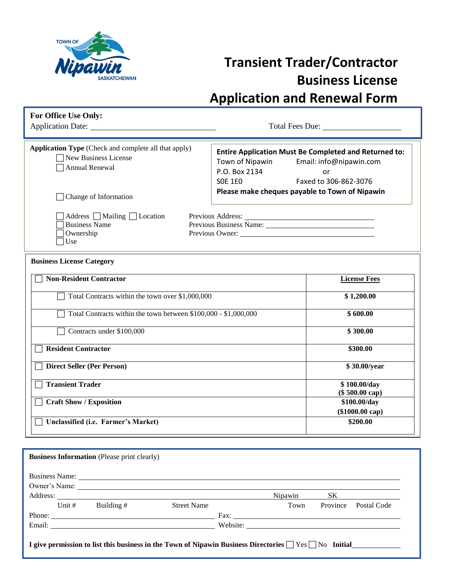

## **Transient Trader/Contractor Business License Application and Renewal Form**

Application Date: Total Fees Due:

| <b>Application Type</b> (Check and complete all that apply)<br>New Business License<br>Annual Renewal<br>Change of Information | <b>Entire Application Must Be Completed and Returned to:</b><br>Town of Nipawin Email: info@nipawin.com<br>P.O. Box 2134<br>or<br>SOE 1EO<br>Faxed to 306-862-3076<br>Please make cheques payable to Town of Nipawin |  |  |
|--------------------------------------------------------------------------------------------------------------------------------|----------------------------------------------------------------------------------------------------------------------------------------------------------------------------------------------------------------------|--|--|
| Address     Mailing     Location<br><b>Business Name</b><br>Ownership<br>Use                                                   | Previous Owner:                                                                                                                                                                                                      |  |  |
| <b>Business License Category</b>                                                                                               |                                                                                                                                                                                                                      |  |  |
| <b>Non-Resident Contractor</b>                                                                                                 | <b>License Fees</b>                                                                                                                                                                                                  |  |  |
| Total Contracts within the town over \$1,000,000                                                                               | \$1,200.00                                                                                                                                                                                                           |  |  |
| Total Contracts within the town between \$100,000 - \$1,000,000                                                                | \$600.00                                                                                                                                                                                                             |  |  |

| \$300.00                        |
|---------------------------------|
| \$300.00                        |
| \$30.00/year                    |
| \$100.00/day<br>(\$ 500.00 cap) |
| \$100.00/day                    |
| (\$1000.00 cap)<br>\$200.00     |
|                                 |

|          | <b>Business Information</b> (Please print clearly)                                                               |                    |         |          |                    |
|----------|------------------------------------------------------------------------------------------------------------------|--------------------|---------|----------|--------------------|
|          |                                                                                                                  |                    |         |          |                    |
|          |                                                                                                                  |                    |         |          |                    |
|          |                                                                                                                  |                    | Nipawin |          | SK                 |
| Unit $#$ | Building #                                                                                                       | <b>Street Name</b> | Town    | Province | <b>Postal Code</b> |
|          |                                                                                                                  |                    |         |          |                    |
|          |                                                                                                                  |                    |         |          |                    |
|          | I give permission to list this business in the Town of Nipawin Business Directories $\Box$ Yes $\Box$ No Initial |                    |         |          |                    |